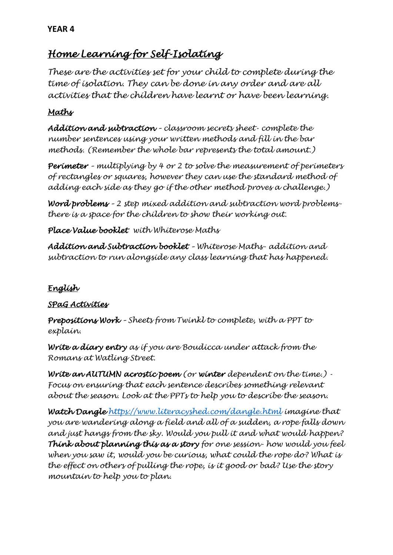# *Home Learning for Self-Isolating*

*These are the activities set for your child to complete during the time of isolation. They can be done in any order and are all activities that the children have learnt or have been learning.* 

## *Maths*

*Addition and subtraction – classroom secrets sheet- complete the number sentences using your written methods and fill in the bar methods. (Remember the whole bar represents the total amount.)* 

*Perimeter – multiplying by 4 or 2 to solve the measurement of perimeters of rectangles or squares, however they can use the standard method of adding each side as they go if the other method proves a challenge.)* 

*Word problems – 2 step mixed addition and subtraction word problemsthere is a space for the children to show their working out.*

*Place Value booklet with Whiterose Maths*

*Addition and Subtraction booklet – Whiterose Maths- addition and subtraction to run alongside any class learning that has happened.* 

## *English*

## *SPaG Activities*

*Prepositions Work – Sheets from Twinkl to complete, with a PPT to explain.*

*Write a diary entry as if you are Boudicca under attack from the Romans at Watling Street.* 

*Write an AUTUMN acrostic poem (or winter dependent on the time.) - Focus on ensuring that each sentence describes something relevant about the season. Look at the PPTs to help you to describe the season.* 

*Watch Dangle <https://www.literacyshed.com/dangle.html> imagine that you are wandering along a field and all of a sudden, a rope falls down and just hangs from the sky. Would you pull it and what would happen? Think about planning this as a story for one session- how would you feel when you saw it, would you be curious, what could the rope do? What is the effect on others of pulling the rope, is it good or bad? Use the story mountain to help you to plan.*